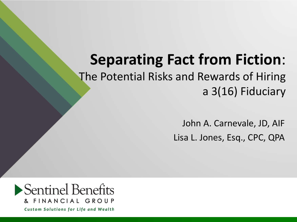## **Separating Fact from Fiction**:

The Potential Risks and Rewards of Hiring a 3(16) Fiduciary

> John A. Carnevale, JD, AIF Lisa L. Jones, Esq., CPC, QPA

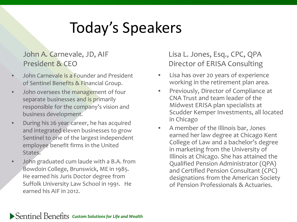# Today's Speakers

#### John A. Carnevale, JD, AIF President & CEO

- John Carnevale is a Founder and President of Sentinel Benefits & Financial Group.
- John oversees the management of four separate businesses and is primarily responsible for the company's vision and business development.
- During his 26 year career, he has acquired and integrated eleven businesses to grow Sentinel to one of the largest independent employee benefit firms in the United States.
- John graduated cum laude with a B.A. from Bowdoin College, Brunswick, ME in 1985. He earned his Juris Doctor degree from Suffolk University Law School in 1991. He earned his AIF in 2012.

#### Lisa L. Jones, Esq., CPC, QPA Director of ERISA Consulting

- Lisa has over 20 years of experience working in the retirement plan area.
- Previously, Director of Compliance at CNA Trust and team leader of the Midwest ERISA plan specialists at Scudder Kemper Investments, all located in Chicago
- A member of the Illinois bar, Jones earned her law degree at Chicago Kent College of Law and a bachelor's degree in marketing from the University of Illinois at Chicago. She has attained the Qualified Pension Administrator (QPA) and Certified Pension Consultant (CPC) designations from the American Society of Pension Professionals & Actuaries.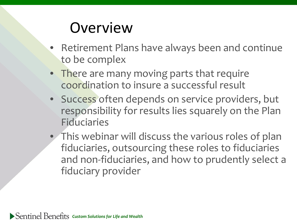### **Overview**

- Retirement Plans have always been and continue to be complex
- There are many moving parts that require coordination to insure a successful result
- Success often depends on service providers, but responsibility for results lies squarely on the Plan **Fiduciaries**
- This webinar will discuss the various roles of plan fiduciaries, outsourcing these roles to fiduciaries and non-fiduciaries, and how to prudently select a fiduciary provider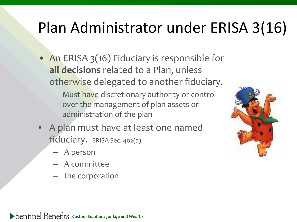# Plan Administrator under ERISA 3(16)

- An ERISA 3(16) Fiduciary is responsible for **all decisions** related to a Plan, unless otherwise delegated to another fiduciary.
	- Must have discretionary authority or control over the management of plan assets or administration of the plan
- A plan must have at least one named fiduciary. ERISA Sec. 402(a).
	- A person
	- A committee
	- the corporation

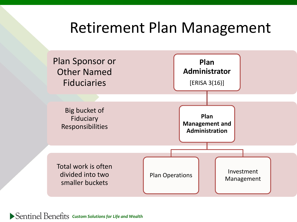### Retirement Plan Management

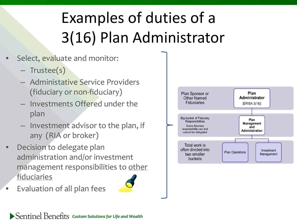# Examples of duties of a 3(16) Plan Administrator

- Select, evaluate and monitor:
	- Trustee(s)
	- Administative Service Providers (fiduciary or non-fiduciary)
	- Investments Offered under the plan
	- Investment advisor to the plan, if any (RIA or broker)
- Decision to delegate plan administration and/or investment management responsibilities to other fiduciaries
- Evaluation of all plan fees

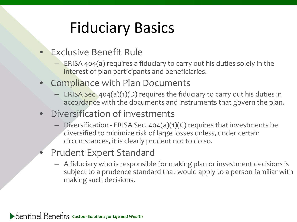# Fiduciary Basics

- Exclusive Benefit Rule
	- ERISA 404(a) requires a fiduciary to carry out his duties solely in the interest of plan participants and beneficiaries.
- Compliance with Plan Documents
	- ERISA Sec. 404(a)(1)(D) requires the fiduciary to carry out his duties in accordance with the documents and instruments that govern the plan.
- Diversification of investments
	- Diversification ERISA Sec.  $404(a)(1)(C)$  requires that investments be diversified to minimize risk of large losses unless, under certain circumstances, it is clearly prudent not to do so.
- Prudent Expert Standard
	- A fiduciary who is responsible for making plan or investment decisions is subject to a prudence standard that would apply to a person familiar with making such decisions.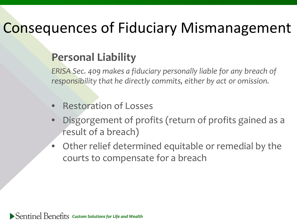## Consequences of Fiduciary Mismanagement

### **Personal Liability**

*ERISA Sec. 409 makes a fiduciary personally liable for any breach of responsibility that he directly commits, either by act or omission.* 

- Restoration of Losses
- Disgorgement of profits (return of profits gained as a result of a breach)
- Other relief determined equitable or remedial by the courts to compensate for a breach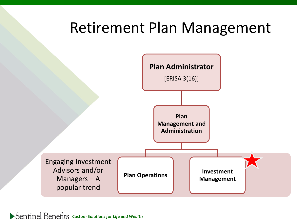### Retirement Plan Management

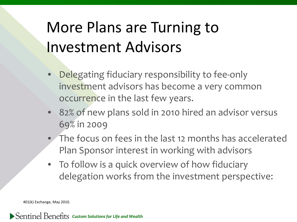# More Plans are Turning to Investment Advisors

- Delegating fiduciary responsibility to fee-only investment advisors has become a very common occurrence in the last few years.
- 82% of new plans sold in 2010 hired an advisor versus 69% in 2009
- The focus on fees in the last 12 months has accelerated Plan Sponsor interest in working with advisors
- To follow is a quick overview of how fiduciary delegation works from the investment perspective:

401(k) Exchange, May 2010.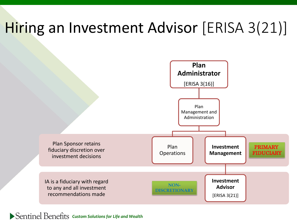## Hiring an Investment Advisor [ERISA 3(21)]



*Custom Solutions for Life and Wealth*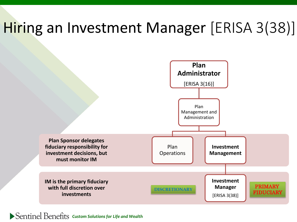## Hiring an Investment Manager [ERISA 3(38)]

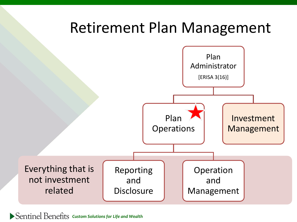### Retirement Plan Management

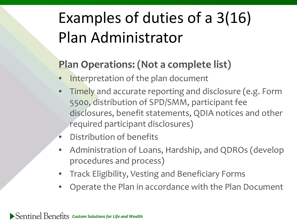# Examples of duties of a 3(16) Plan Administrator

### **Plan Operations: (Not a complete list)**

- Interpretation of the plan document
- Timely and accurate reporting and disclosure (e.g. Form 5500, distribution of SPD/SMM, participant fee disclosures, benefit statements, QDIA notices and other required participant disclosures)
- Distribution of benefits
- Administration of Loans, Hardship, and QDROs (develop procedures and process)
- Track Eligibility, Vesting and Beneficiary Forms
- Operate the Plan in accordance with the Plan Document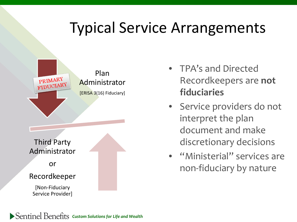## Typical Service Arrangements



- TPA's and Directed Recordkeepers are **not fiduciaries**
- Service providers do not interpret the plan document and make discretionary decisions
- "Ministerial" services are non-fiduciary by nature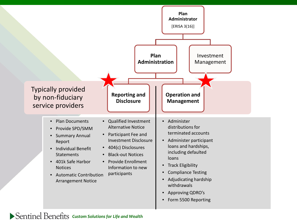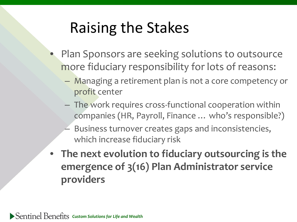## Raising the Stakes

- Plan Sponsors are seeking solutions to outsource more fiduciary responsibility for lots of reasons:
	- Managing a retirement plan is not a core competency or profit center
	- The work requires cross-functional cooperation within companies (HR, Payroll, Finance … who's responsible?)
	- Business turnover creates gaps and inconsistencies, which increase fiduciary risk
- **The next evolution to fiduciary outsourcing is the emergence of 3(16) Plan Administrator service providers**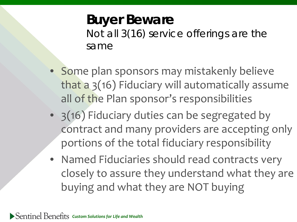### **Buyer Beware** Not all 3(16) service offerings are the same

- Some plan sponsors may mistakenly believe that a 3(16) Fiduciary will automatically assume all of the Plan sponsor's responsibilities
- 3(16) Fiduciary duties can be segregated by contract and many providers are accepting only portions of the total fiduciary responsibility
- Named Fiduciaries should read contracts very closely to assure they understand what they are buying and what they are NOT buying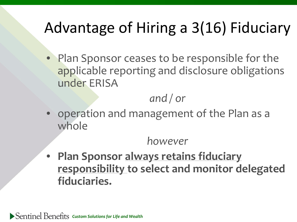# Advantage of Hiring a 3(16) Fiduciary

• Plan Sponsor ceases to be responsible for the applicable reporting and disclosure obligations under ERISA

*and / or*

• operation and management of the Plan as a whole

### *however*

• **Plan Sponsor always retains fiduciary responsibility to select and monitor delegated fiduciaries.**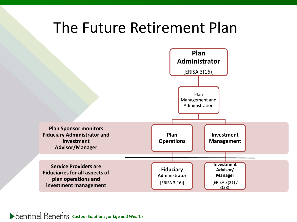### The Future Retirement Plan

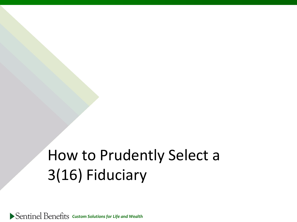# How to Prudently Select a 3(16) Fiduciary

*Custom Solutions for Life and Wealth*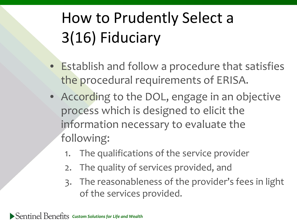# How to Prudently Select a 3(16) Fiduciary

- Establish and follow a procedure that satisfies the procedural requirements of ERISA.
- According to the DOL, engage in an objective process which is designed to elicit the information necessary to evaluate the following:
	- 1. The qualifications of the service provider
	- 2. The quality of services provided, and
	- 3. The reasonableness of the provider's fees in light of the services provided.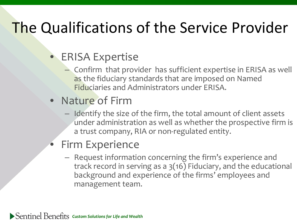# The Qualifications of the Service Provider

### • ERISA Expertise

– Confirm that provider has sufficient expertise in ERISA as well as the fiduciary standards that are imposed on Named Fiduciaries and Administrators under ERISA.

### • Nature of Firm

– Identify the size of the firm, the total amount of client assets under administration as well as whether the prospective firm is a trust company, RIA or non-regulated entity.

### **Firm Experience**

– Request information concerning the firm's experience and track record in serving as a 3(16) Fiduciary, and the educational background and experience of the firms' employees and management team.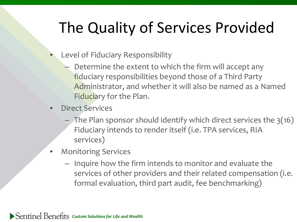# The Quality of Services Provided

- Level of Fiduciary Responsibility
	- Determine the extent to which the firm will accept any fiduciary responsibilities beyond those of a Third Party Administrator, and whether it will also be named as a Named Fiduciary for the Plan.
- Direct Services
	- $-$  The Plan sponsor should identify which direct services the  $3(16)$ Fiduciary intends to render itself (i.e. TPA services, RIA services)
- Monitoring Services
	- Inquire how the firm intends to monitor and evaluate the services of other providers and their related compensation (i.e. formal evaluation, third part audit, fee benchmarking)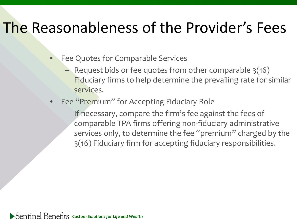## The Reasonableness of the Provider's Fees

- Fee Quotes for Comparable Services
	- Request bids or fee quotes from other comparable 3(16) Fiduciary firms to help determine the prevailing rate for similar services.
- Fee "Premium" for Accepting Fiduciary Role
	- If necessary, compare the firm's fee against the fees of comparable TPA firms offering non-fiduciary administrative services only, to determine the fee "premium" charged by the 3(16) Fiduciary firm for accepting fiduciary responsibilities.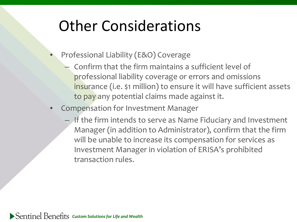## Other Considerations

- Professional Liability (E&O) Coverage
	- Confirm that the firm maintains a sufficient level of professional liability coverage or errors and omissions insurance (i.e. \$1 million) to ensure it will have sufficient assets to pay any potential claims made against it.
- Compensation for Investment Manager
	- If the firm intends to serve as Name Fiduciary and Investment Manager (in addition to Administrator), confirm that the firm will be unable to increase its compensation for services as Investment Manager in violation of ERISA's prohibited transaction rules.